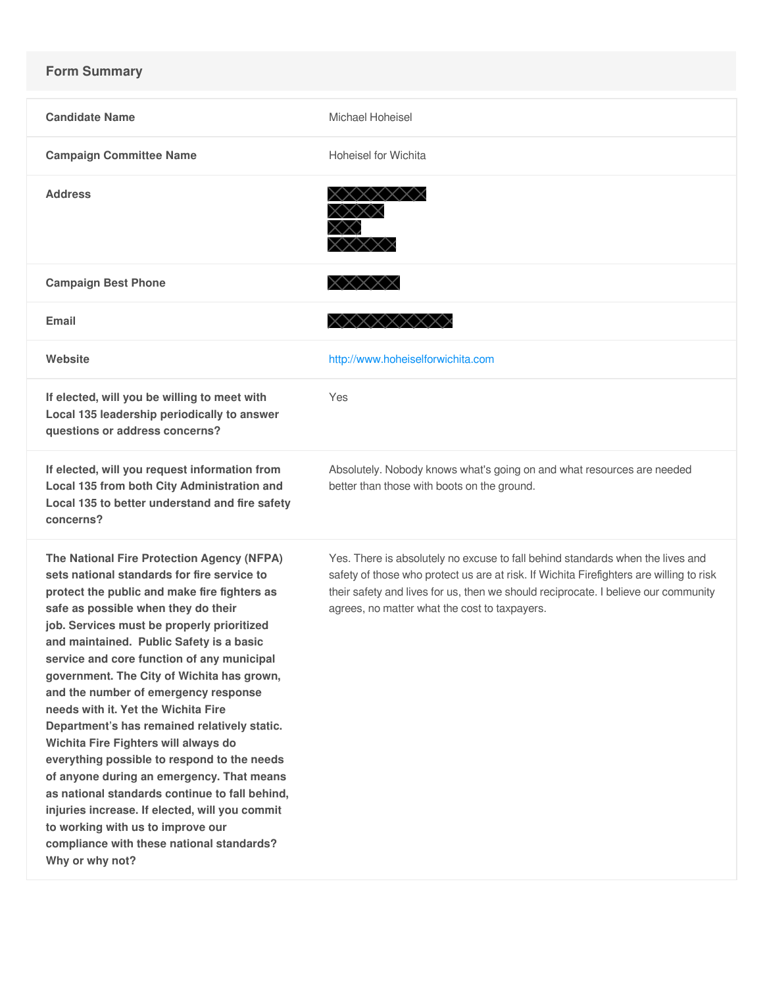## **Form Summary**

| <b>Candidate Name</b>                                                                                                                                                                                                                                                                                                                                                                                                                                                                                                                                                                                                                                                                                                                                                                                                                              | Michael Hoheisel                                                                                                                                                                                                                                                                                                 |
|----------------------------------------------------------------------------------------------------------------------------------------------------------------------------------------------------------------------------------------------------------------------------------------------------------------------------------------------------------------------------------------------------------------------------------------------------------------------------------------------------------------------------------------------------------------------------------------------------------------------------------------------------------------------------------------------------------------------------------------------------------------------------------------------------------------------------------------------------|------------------------------------------------------------------------------------------------------------------------------------------------------------------------------------------------------------------------------------------------------------------------------------------------------------------|
| <b>Campaign Committee Name</b>                                                                                                                                                                                                                                                                                                                                                                                                                                                                                                                                                                                                                                                                                                                                                                                                                     | <b>Hoheisel for Wichita</b>                                                                                                                                                                                                                                                                                      |
| <b>Address</b>                                                                                                                                                                                                                                                                                                                                                                                                                                                                                                                                                                                                                                                                                                                                                                                                                                     | XXXXX                                                                                                                                                                                                                                                                                                            |
| <b>Campaign Best Phone</b>                                                                                                                                                                                                                                                                                                                                                                                                                                                                                                                                                                                                                                                                                                                                                                                                                         | XXXXX                                                                                                                                                                                                                                                                                                            |
| Email                                                                                                                                                                                                                                                                                                                                                                                                                                                                                                                                                                                                                                                                                                                                                                                                                                              | XXXXXXXX                                                                                                                                                                                                                                                                                                         |
| Website                                                                                                                                                                                                                                                                                                                                                                                                                                                                                                                                                                                                                                                                                                                                                                                                                                            | http://www.hoheiselforwichita.com                                                                                                                                                                                                                                                                                |
| If elected, will you be willing to meet with<br>Local 135 leadership periodically to answer<br>questions or address concerns?                                                                                                                                                                                                                                                                                                                                                                                                                                                                                                                                                                                                                                                                                                                      | Yes                                                                                                                                                                                                                                                                                                              |
| If elected, will you request information from<br>Local 135 from both City Administration and<br>Local 135 to better understand and fire safety<br>concerns?                                                                                                                                                                                                                                                                                                                                                                                                                                                                                                                                                                                                                                                                                        | Absolutely. Nobody knows what's going on and what resources are needed<br>better than those with boots on the ground.                                                                                                                                                                                            |
| The National Fire Protection Agency (NFPA)<br>sets national standards for fire service to<br>protect the public and make fire fighters as<br>safe as possible when they do their<br>job. Services must be properly prioritized<br>and maintained. Public Safety is a basic<br>service and core function of any municipal<br>government. The City of Wichita has grown,<br>and the number of emergency response<br>needs with it. Yet the Wichita Fire<br>Department's has remained relatively static.<br>Wichita Fire Fighters will always do<br>everything possible to respond to the needs<br>of anyone during an emergency. That means<br>as national standards continue to fall behind,<br>injuries increase. If elected, will you commit<br>to working with us to improve our<br>compliance with these national standards?<br>Why or why not? | Yes. There is absolutely no excuse to fall behind standards when the lives and<br>safety of those who protect us are at risk. If Wichita Firefighters are willing to risk<br>their safety and lives for us, then we should reciprocate. I believe our community<br>agrees, no matter what the cost to taxpayers. |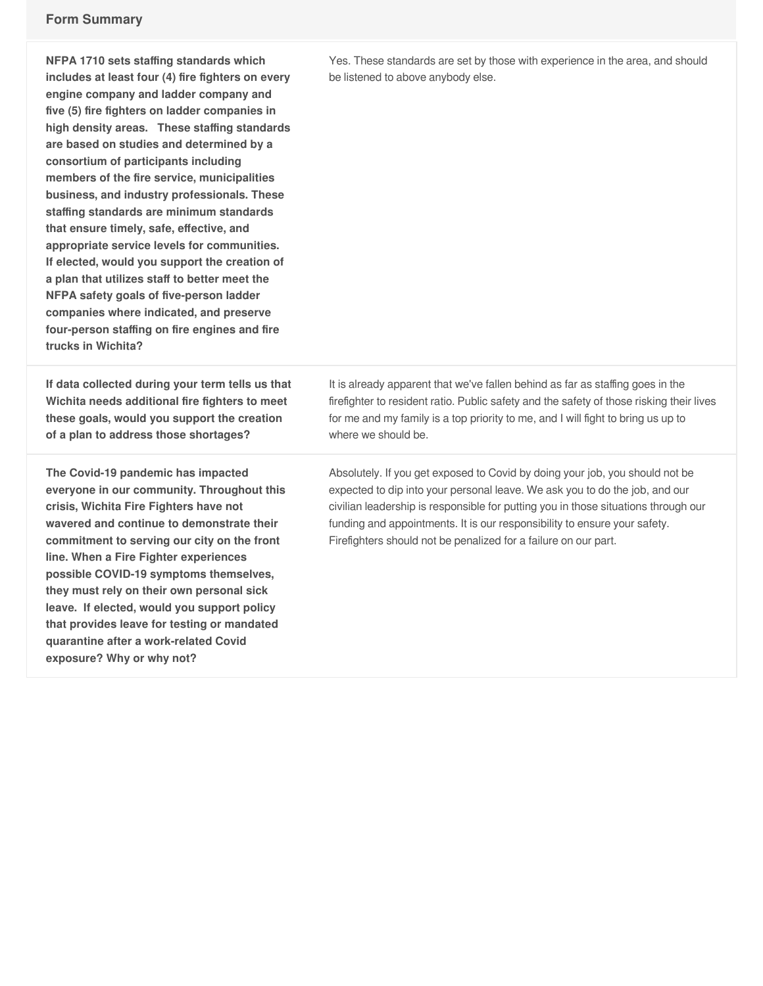**NFPA 1710 sets staffing standards which includes at least four (4) fire fighters on every engine company and ladder company and five (5) fire fighters on ladder companies in high density areas. These staffing standards are based on studies and determined by a consortium of participants including members of the fire service, municipalities business, and industry professionals. These staffing standards are minimum standards that ensure timely, safe, effective, and appropriate service levels for communities. If elected, would you support the creation of a plan that utilizes staff to better meet the NFPA safety goals of five-person ladder companies where indicated, and preserve four-person staffing on fire engines and fire trucks in Wichita?**

**If data collected during your term tells us that Wichita needs additional fire fighters to meet these goals, would you support the creation of a plan to address those shortages?**

**The Covid-19 pandemic has impacted everyone in our community. Throughout this crisis, Wichita Fire Fighters have not wavered and continue to demonstrate their commitment to serving our city on the front line. When a Fire Fighter experiences possible COVID-19 symptoms themselves, they must rely on their own personal sick leave. If elected, would you support policy that provides leave for testing or mandated quarantine after a work-related Covid exposure? Why or why not?**

Yes. These standards are set by those with experience in the area, and should be listened to above anybody else.

It is already apparent that we've fallen behind as far as staffing goes in the firefighter to resident ratio. Public safety and the safety of those risking their lives for me and my family is a top priority to me, and I will fight to bring us up to where we should be.

Absolutely. If you get exposed to Covid by doing your job, you should not be expected to dip into your personal leave. We ask you to do the job, and our civilian leadership is responsible for putting you in those situations through our funding and appointments. It is our responsibility to ensure your safety. Firefighters should not be penalized for a failure on our part.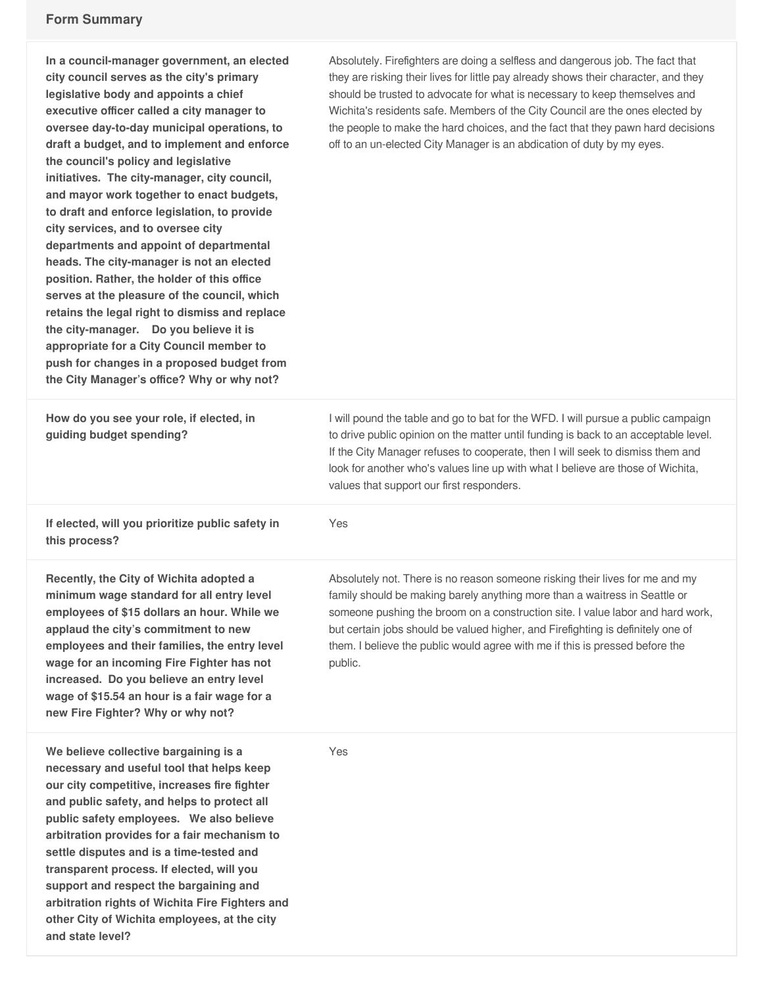**and state level?**

| In a council-manager government, an elected<br>city council serves as the city's primary<br>legislative body and appoints a chief<br>executive officer called a city manager to<br>oversee day-to-day municipal operations, to<br>draft a budget, and to implement and enforce<br>the council's policy and legislative<br>initiatives. The city-manager, city council,<br>and mayor work together to enact budgets,<br>to draft and enforce legislation, to provide<br>city services, and to oversee city<br>departments and appoint of departmental<br>heads. The city-manager is not an elected<br>position. Rather, the holder of this office<br>serves at the pleasure of the council, which<br>retains the legal right to dismiss and replace<br>the city-manager. Do you believe it is<br>appropriate for a City Council member to<br>push for changes in a proposed budget from<br>the City Manager's office? Why or why not? | Absolutely. Firefighters are doing a selfless and dangerous job. The fact that<br>they are risking their lives for little pay already shows their character, and they<br>should be trusted to advocate for what is necessary to keep themselves and<br>Wichita's residents safe. Members of the City Council are the ones elected by<br>the people to make the hard choices, and the fact that they pawn hard decisions<br>off to an un-elected City Manager is an abdication of duty by my eyes. |
|--------------------------------------------------------------------------------------------------------------------------------------------------------------------------------------------------------------------------------------------------------------------------------------------------------------------------------------------------------------------------------------------------------------------------------------------------------------------------------------------------------------------------------------------------------------------------------------------------------------------------------------------------------------------------------------------------------------------------------------------------------------------------------------------------------------------------------------------------------------------------------------------------------------------------------------|---------------------------------------------------------------------------------------------------------------------------------------------------------------------------------------------------------------------------------------------------------------------------------------------------------------------------------------------------------------------------------------------------------------------------------------------------------------------------------------------------|
| How do you see your role, if elected, in<br>guiding budget spending?                                                                                                                                                                                                                                                                                                                                                                                                                                                                                                                                                                                                                                                                                                                                                                                                                                                                 | I will pound the table and go to bat for the WFD. I will pursue a public campaign<br>to drive public opinion on the matter until funding is back to an acceptable level.<br>If the City Manager refuses to cooperate, then I will seek to dismiss them and<br>look for another who's values line up with what I believe are those of Wichita,<br>values that support our first responders.                                                                                                        |
| If elected, will you prioritize public safety in<br>this process?                                                                                                                                                                                                                                                                                                                                                                                                                                                                                                                                                                                                                                                                                                                                                                                                                                                                    | Yes                                                                                                                                                                                                                                                                                                                                                                                                                                                                                               |
| Recently, the City of Wichita adopted a<br>minimum wage standard for all entry level<br>employees of \$15 dollars an hour. While we<br>applaud the city's commitment to new<br>employees and their families, the entry level<br>wage for an incoming Fire Fighter has not<br>increased. Do you believe an entry level<br>wage of \$15.54 an hour is a fair wage for a<br>new Fire Fighter? Why or why not?                                                                                                                                                                                                                                                                                                                                                                                                                                                                                                                           | Absolutely not. There is no reason someone risking their lives for me and my<br>family should be making barely anything more than a waitress in Seattle or<br>someone pushing the broom on a construction site. I value labor and hard work,<br>but certain jobs should be valued higher, and Firefighting is definitely one of<br>them. I believe the public would agree with me if this is pressed before the<br>public.                                                                        |
| We believe collective bargaining is a<br>necessary and useful tool that helps keep<br>our city competitive, increases fire fighter<br>and public safety, and helps to protect all<br>public safety employees. We also believe<br>arbitration provides for a fair mechanism to<br>settle disputes and is a time-tested and<br>transparent process. If elected, will you<br>support and respect the bargaining and<br>arbitration rights of Wichita Fire Fighters and<br>other City of Wichita employees, at the city                                                                                                                                                                                                                                                                                                                                                                                                                  | Yes                                                                                                                                                                                                                                                                                                                                                                                                                                                                                               |